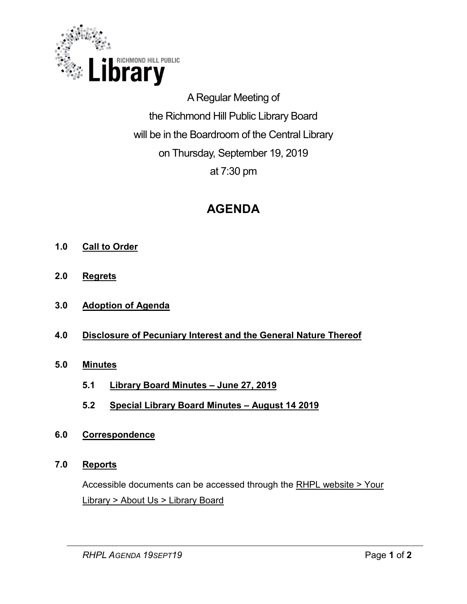

A Regular Meeting of the Richmond Hill Public Library Board will be in the Boardroom of the Central Library on Thursday, September 19, 2019 at 7:30 pm

# **AGENDA**

- **1.0 Call to Order**
- **2.0 Regrets**
- **3.0 Adoption of Agenda**
- **4.0 Disclosure of Pecuniary Interest and the General Nature Thereof**
- **5.0 Minutes** 
	- **5.1 Library Board Minutes – June 27, 2019**
	- **5.2 Special Library Board Minutes – August 14 2019**
- **6.0 Correspondence**
- **7.0 Reports**

Accessible documents can be accessed through the [RHPL website > Your](https://www.rhpl.ca/your-library/about-us/library-board)  Library [> About Us > Library Board](https://www.rhpl.ca/your-library/about-us/library-board)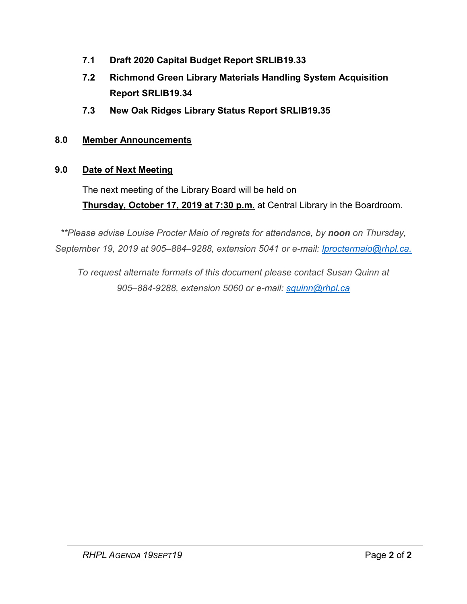- **7.1 [Draft 2020 Capital Budget Report SRLIB19.33](#page-2-0)**
- **7.2 [Richmond Green Library Materials Handling System Acquisition](#page-23-0) Report SRLIB19.34**
- **7.3 [New Oak Ridges Library Status Report SRLIB19.35](#page-28-0)**

# **8.0 Member Announcements**

# **9.0 Date of Next Meeting**

The next meeting of the Library Board will be held on **Thursday, October 17, 2019 at 7:30 p.m**. at Central Library in the Boardroom.

*\*\*Please advise Louise Procter Maio of regrets for attendance, by noon on Thursday, September 19, 2019 at 905–884–9288, extension 5041 or e-mail: lproctermaio@rhpl.ca.* 

*To request alternate formats of this document please contact Susan Quinn at 905–884-9288, extension 5060 or e-mail: [squinn@rhpl.ca](mailto:squinn@rhpl.ca)*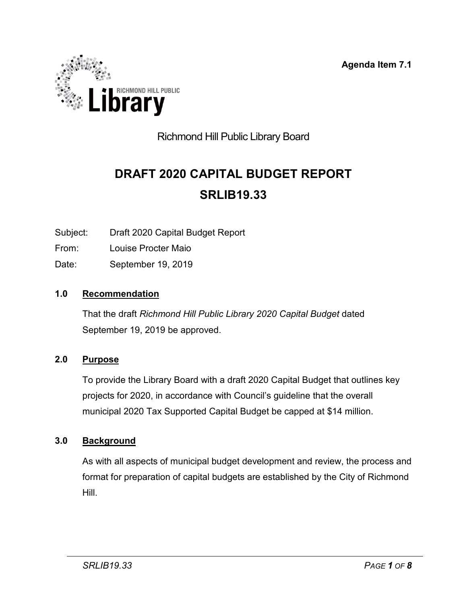**Agenda Item 7.1**

<span id="page-2-0"></span>

# Richmond Hill Public Library Board

# **DRAFT 2020 CAPITAL BUDGET REPORT SRLIB19.33**

Subject: Draft 2020 Capital Budget Report

From: Louise Procter Maio

Date: September 19, 2019

### **1.0 Recommendation**

That the draft *Richmond Hill Public Library 2020 Capital Budget* dated September 19, 2019 be approved.

### **2.0 Purpose**

To provide the Library Board with a draft 2020 Capital Budget that outlines key projects for 2020, in accordance with Council's guideline that the overall municipal 2020 Tax Supported Capital Budget be capped at \$14 million.

### **3.0 Background**

As with all aspects of municipal budget development and review, the process and format for preparation of capital budgets are established by the City of Richmond Hill.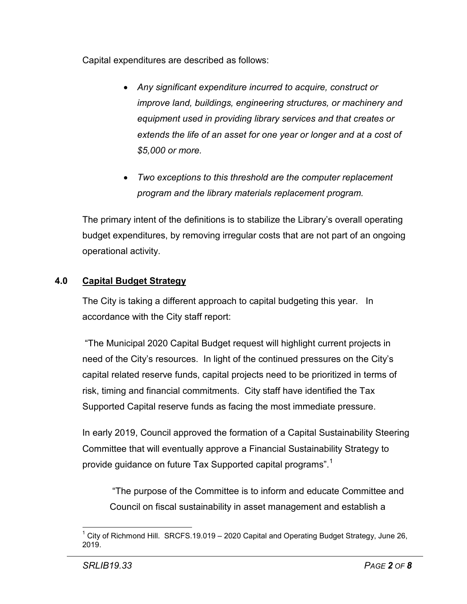Capital expenditures are described as follows:

- *Any significant expenditure incurred to acquire, construct or improve land, buildings, engineering structures, or machinery and equipment used in providing library services and that creates or extends the life of an asset for one year or longer and at a cost of \$5,000 or more.*
- *Two exceptions to this threshold are the computer replacement program and the library materials replacement program.*

The primary intent of the definitions is to stabilize the Library's overall operating budget expenditures, by removing irregular costs that are not part of an ongoing operational activity.

# **4.0 Capital Budget Strategy**

The City is taking a different approach to capital budgeting this year. In accordance with the City staff report:

"The Municipal 2020 Capital Budget request will highlight current projects in need of the City's resources. In light of the continued pressures on the City's capital related reserve funds, capital projects need to be prioritized in terms of risk, timing and financial commitments. City staff have identified the Tax Supported Capital reserve funds as facing the most immediate pressure.

In early 2019, Council approved the formation of a Capital Sustainability Steering Committee that will eventually approve a Financial Sustainability Strategy to provide guidance on future Tax Supported capital programs". $^\text{1}$  $^\text{1}$  $^\text{1}$ 

"The purpose of the Committee is to inform and educate Committee and Council on fiscal sustainability in asset management and establish a

<span id="page-3-0"></span> $1$  City of Richmond Hill. SRCFS.19.019 – 2020 Capital and Operating Budget Strategy, June 26, 2019.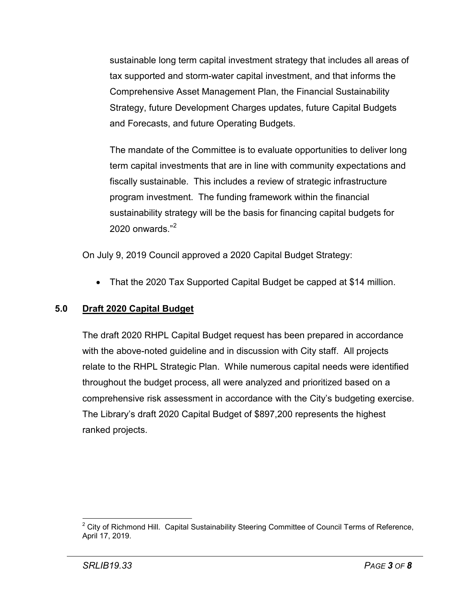sustainable long term capital investment strategy that includes all areas of tax supported and storm-water capital investment, and that informs the Comprehensive Asset Management Plan, the Financial Sustainability Strategy, future Development Charges updates, future Capital Budgets and Forecasts, and future Operating Budgets.

The mandate of the Committee is to evaluate opportunities to deliver long term capital investments that are in line with community expectations and fiscally sustainable. This includes a review of strategic infrastructure program investment. The funding framework within the financial sustainability strategy will be the basis for financing capital budgets for 2020 onwards."[2](#page-4-0)

On July 9, 2019 Council approved a 2020 Capital Budget Strategy:

• That the 2020 Tax Supported Capital Budget be capped at \$14 million.

# **5.0 Draft 2020 Capital Budget**

The draft 2020 RHPL Capital Budget request has been prepared in accordance with the above-noted guideline and in discussion with City staff. All projects relate to the RHPL Strategic Plan. While numerous capital needs were identified throughout the budget process, all were analyzed and prioritized based on a comprehensive risk assessment in accordance with the City's budgeting exercise. The Library's draft 2020 Capital Budget of \$897,200 represents the highest ranked projects.

<span id="page-4-0"></span> $2$  City of Richmond Hill. Capital Sustainability Steering Committee of Council Terms of Reference, April 17, 2019.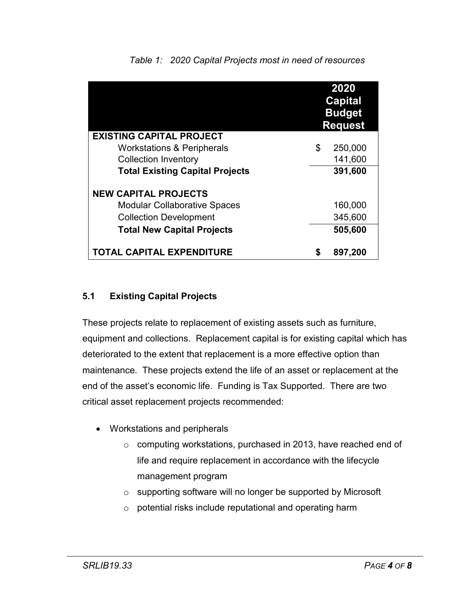|                                        |    | 2020<br><b>Capital</b><br><b>Budget</b><br><b>Request</b> |
|----------------------------------------|----|-----------------------------------------------------------|
| <b>EXISTING CAPITAL PROJECT</b>        |    |                                                           |
| <b>Workstations &amp; Peripherals</b>  | \$ | 250,000                                                   |
| <b>Collection Inventory</b>            |    | 141,600                                                   |
| <b>Total Existing Capital Projects</b> |    | 391,600                                                   |
| <b>NEW CAPITAL PROJECTS</b>            |    |                                                           |
| <b>Modular Collaborative Spaces</b>    |    | 160,000                                                   |
| <b>Collection Development</b>          |    | 345,600                                                   |
| <b>Total New Capital Projects</b>      |    | 505,600                                                   |
| TOTAL CAPITAL EXPENDITURE              | S  | 897,200                                                   |

# *Table 1: 2020 Capital Projects most in need of resources*

### **5.1 Existing Capital Projects**

These projects relate to replacement of existing assets such as furniture, equipment and collections. Replacement capital is for existing capital which has deteriorated to the extent that replacement is a more effective option than maintenance. These projects extend the life of an asset or replacement at the end of the asset's economic life. Funding is Tax Supported. There are two critical asset replacement projects recommended:

- Workstations and peripherals
	- o computing workstations, purchased in 2013, have reached end of life and require replacement in accordance with the lifecycle management program
	- o supporting software will no longer be supported by Microsoft
	- o potential risks include reputational and operating harm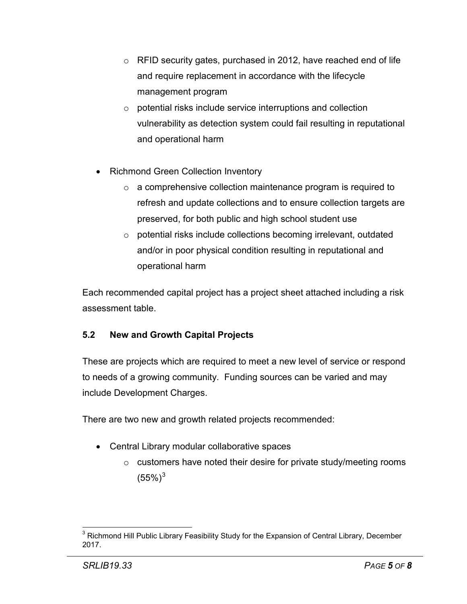- o RFID security gates, purchased in 2012, have reached end of life and require replacement in accordance with the lifecycle management program
- o potential risks include service interruptions and collection vulnerability as detection system could fail resulting in reputational and operational harm
- Richmond Green Collection Inventory
	- o a comprehensive collection maintenance program is required to refresh and update collections and to ensure collection targets are preserved, for both public and high school student use
	- o potential risks include collections becoming irrelevant, outdated and/or in poor physical condition resulting in reputational and operational harm

Each recommended capital project has a project sheet attached including a risk assessment table.

# **5.2 New and Growth Capital Projects**

These are projects which are required to meet a new level of service or respond to needs of a growing community. Funding sources can be varied and may include Development Charges.

There are two new and growth related projects recommended:

- Central Library modular collaborative spaces
	- $\circ$  customers have noted their desire for private study/meeting rooms  $(55\%)^3$  $(55\%)^3$

<span id="page-6-0"></span><sup>&</sup>lt;sup>3</sup> Richmond Hill Public Library Feasibility Study for the Expansion of Central Library, December 2017.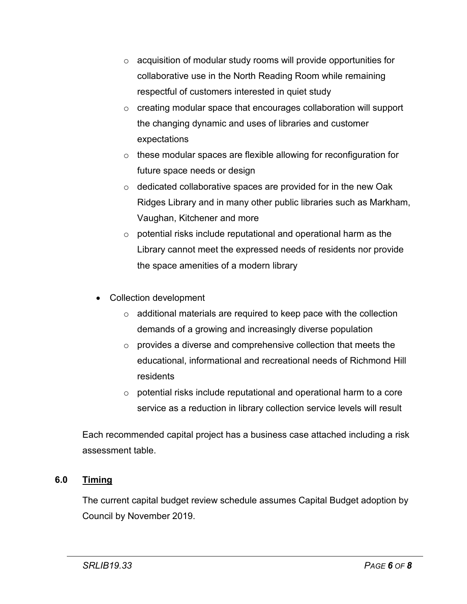- o acquisition of modular study rooms will provide opportunities for collaborative use in the North Reading Room while remaining respectful of customers interested in quiet study
- o creating modular space that encourages collaboration will support the changing dynamic and uses of libraries and customer expectations
- o these modular spaces are flexible allowing for reconfiguration for future space needs or design
- o dedicated collaborative spaces are provided for in the new Oak Ridges Library and in many other public libraries such as Markham, Vaughan, Kitchener and more
- o potential risks include reputational and operational harm as the Library cannot meet the expressed needs of residents nor provide the space amenities of a modern library
- Collection development
	- $\circ$  additional materials are required to keep pace with the collection demands of a growing and increasingly diverse population
	- o provides a diverse and comprehensive collection that meets the educational, informational and recreational needs of Richmond Hill residents
	- $\circ$  potential risks include reputational and operational harm to a core service as a reduction in library collection service levels will result

Each recommended capital project has a business case attached including a risk assessment table.

# **6.0 Timing**

The current capital budget review schedule assumes Capital Budget adoption by Council by November 2019.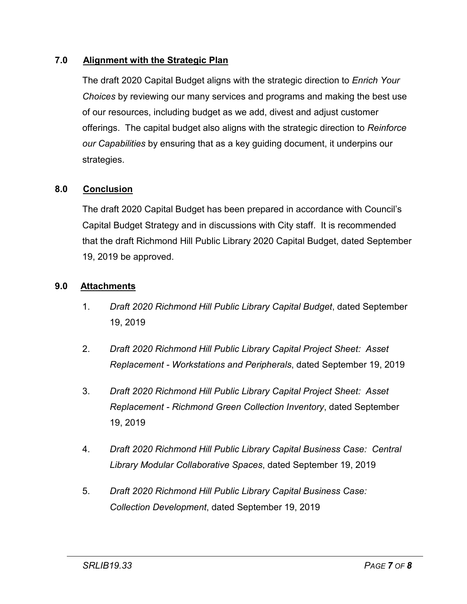### **7.0 Alignment with the Strategic Plan**

The draft 2020 Capital Budget aligns with the strategic direction to *Enrich Your Choices* by reviewing our many services and programs and making the best use of our resources, including budget as we add, divest and adjust customer offerings. The capital budget also aligns with the strategic direction to *Reinforce our Capabilities* by ensuring that as a key guiding document, it underpins our strategies.

### **8.0 Conclusion**

The draft 2020 Capital Budget has been prepared in accordance with Council's Capital Budget Strategy and in discussions with City staff. It is recommended that the draft Richmond Hill Public Library 2020 Capital Budget, dated September 19, 2019 be approved.

### **9.0 Attachments**

- 1. *Draft 2020 Richmond Hill Public Library Capital Budget*, dated September 19, 2019
- 2. *Draft 2020 Richmond Hill Public Library Capital Project Sheet: Asset Replacement - Workstations and Peripherals*, dated September 19, 2019
- 3. *Draft 2020 Richmond Hill Public Library Capital Project Sheet: Asset Replacement - Richmond Green Collection Inventory*, dated September 19, 2019
- 4. *Draft 2020 Richmond Hill Public Library Capital Business Case: Central Library Modular Collaborative Spaces*, dated September 19, 2019
- 5. *Draft 2020 Richmond Hill Public Library Capital Business Case: Collection Development*, dated September 19, 2019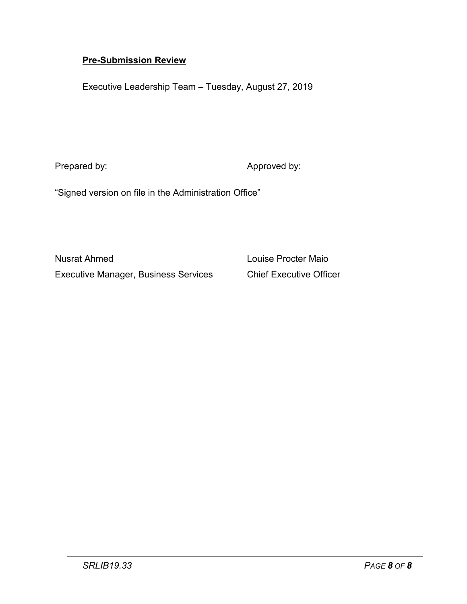### **Pre-Submission Review**

Executive Leadership Team – Tuesday, August 27, 2019

Prepared by:  $\blacksquare$  Approved by:

"Signed version on file in the Administration Office"

Nusrat Ahmed Louise Procter Maio Executive Manager, Business Services Chief Executive Officer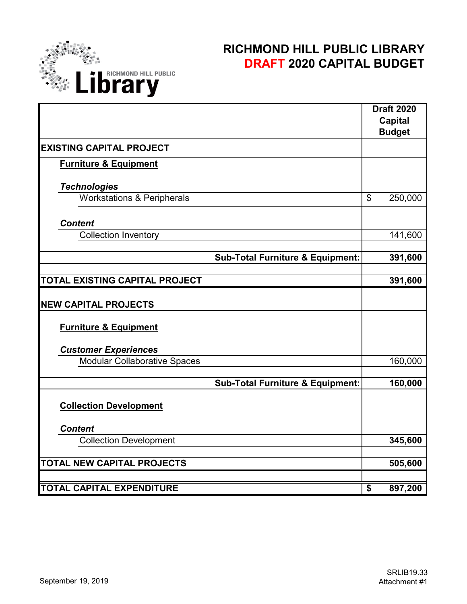

# **RICHMOND HILL PUBLIC LIBRARY DRAFT 2020 CAPITAL BUDGET**

|                                       |                                             |                                  | <b>Draft 2020</b><br><b>Capital</b> |
|---------------------------------------|---------------------------------------------|----------------------------------|-------------------------------------|
|                                       |                                             |                                  | <b>Budget</b>                       |
| <b>EXISTING CAPITAL PROJECT</b>       |                                             |                                  |                                     |
| <b>Furniture &amp; Equipment</b>      |                                             |                                  |                                     |
| <b>Technologies</b>                   |                                             |                                  |                                     |
| <b>Workstations &amp; Peripherals</b> |                                             | \$                               | 250,000                             |
| <b>Content</b>                        |                                             |                                  |                                     |
| <b>Collection Inventory</b>           |                                             |                                  | 141,600                             |
|                                       | <b>Sub-Total Furniture &amp; Equipment:</b> |                                  | 391,600                             |
|                                       |                                             |                                  |                                     |
| TOTAL EXISTING CAPITAL PROJECT        |                                             |                                  | 391,600                             |
|                                       |                                             |                                  |                                     |
| <b>NEW CAPITAL PROJECTS</b>           |                                             |                                  |                                     |
| <b>Furniture &amp; Equipment</b>      |                                             |                                  |                                     |
| <b>Customer Experiences</b>           |                                             |                                  |                                     |
| <b>Modular Collaborative Spaces</b>   |                                             |                                  | 160,000                             |
|                                       | <b>Sub-Total Furniture &amp; Equipment:</b> |                                  | 160,000                             |
| <b>Collection Development</b>         |                                             |                                  |                                     |
| <b>Content</b>                        |                                             |                                  |                                     |
| <b>Collection Development</b>         |                                             |                                  | 345,600                             |
| <b>TOTAL NEW CAPITAL PROJECTS</b>     |                                             |                                  | 505,600                             |
|                                       |                                             |                                  |                                     |
| <b>TOTAL CAPITAL EXPENDITURE</b>      |                                             | $\overline{\boldsymbol{\theta}}$ | 897,200                             |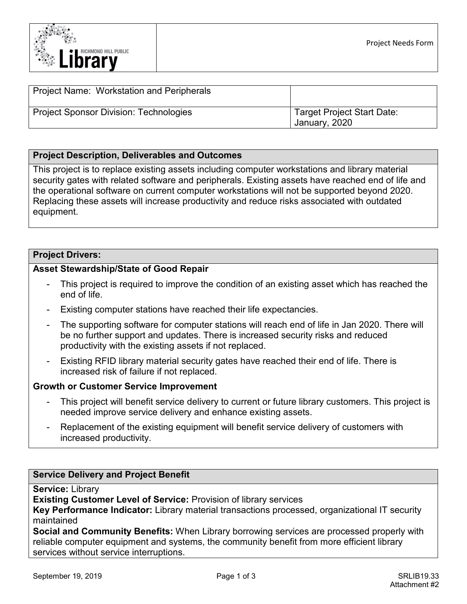

| Project Name: Workstation and Peripherals     |                                             |
|-----------------------------------------------|---------------------------------------------|
| <b>Project Sponsor Division: Technologies</b> | Target Project Start Date:<br>January, 2020 |

#### **Project Description, Deliverables and Outcomes**

This project is to replace existing assets including computer workstations and library material security gates with related software and peripherals. Existing assets have reached end of life and the operational software on current computer workstations will not be supported beyond 2020. Replacing these assets will increase productivity and reduce risks associated with outdated equipment.

#### **Project Drivers:**

#### **Asset Stewardship/State of Good Repair**

- This project is required to improve the condition of an existing asset which has reached the end of life.
- Existing computer stations have reached their life expectancies.
- The supporting software for computer stations will reach end of life in Jan 2020. There will be no further support and updates. There is increased security risks and reduced productivity with the existing assets if not replaced.
- Existing RFID library material security gates have reached their end of life. There is increased risk of failure if not replaced.

#### **Growth or Customer Service Improvement**

- This project will benefit service delivery to current or future library customers. This project is needed improve service delivery and enhance existing assets.
- Replacement of the existing equipment will benefit service delivery of customers with increased productivity.

#### **Service Delivery and Project Benefit**

**Service:** Library

**Existing Customer Level of Service:** Provision of library services

**Key Performance Indicator:** Library material transactions processed, organizational IT security maintained

**Social and Community Benefits:** When Library borrowing services are processed properly with reliable computer equipment and systems, the community benefit from more efficient library services without service interruptions.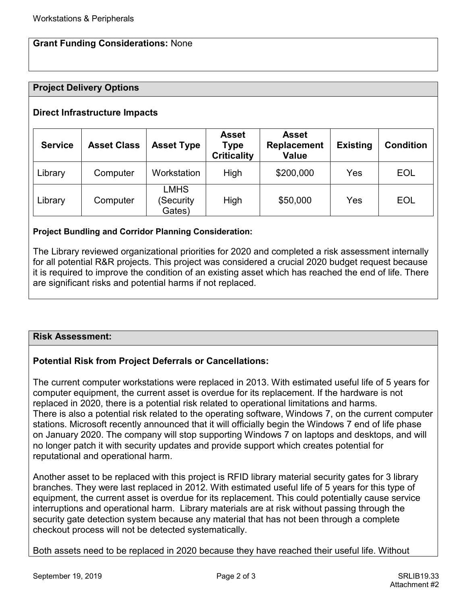#### **Grant Funding Considerations:** None

#### **Project Delivery Options**

#### **Direct Infrastructure Impacts**

| <b>Service</b> | <b>Asset Class</b> | <b>Asset Type</b>                  | <b>Asset</b><br><b>Type</b><br><b>Criticality</b> | <b>Asset</b><br><b>Replacement</b><br><b>Value</b> | <b>Existing</b> | <b>Condition</b> |
|----------------|--------------------|------------------------------------|---------------------------------------------------|----------------------------------------------------|-----------------|------------------|
| Library        | Computer           | Workstation                        | <b>High</b>                                       | \$200,000                                          | Yes             | <b>EOL</b>       |
| Library        | Computer           | <b>LMHS</b><br>(Security<br>Gates) | High                                              | \$50,000                                           | Yes             | <b>EOL</b>       |

#### **Project Bundling and Corridor Planning Consideration:**

The Library reviewed organizational priorities for 2020 and completed a risk assessment internally for all potential R&R projects. This project was considered a crucial 2020 budget request because it is required to improve the condition of an existing asset which has reached the end of life. There are significant risks and potential harms if not replaced.

#### **Risk Assessment:**

#### **Potential Risk from Project Deferrals or Cancellations:**

The current computer workstations were replaced in 2013. With estimated useful life of 5 years for computer equipment, the current asset is overdue for its replacement. If the hardware is not replaced in 2020, there is a potential risk related to operational limitations and harms. There is also a potential risk related to the operating software, Windows 7, on the current computer stations. Microsoft recently announced that it will officially begin the Windows 7 end of life phase on January 2020. The company will stop supporting Windows 7 on laptops and desktops, and will no longer patch it with security updates and provide support which creates potential for reputational and operational harm.

Another asset to be replaced with this project is RFID library material security gates for 3 library branches. They were last replaced in 2012. With estimated useful life of 5 years for this type of equipment, the current asset is overdue for its replacement. This could potentially cause service interruptions and operational harm. Library materials are at risk without passing through the security gate detection system because any material that has not been through a complete checkout process will not be detected systematically.

Both assets need to be replaced in 2020 because they have reached their useful life. Without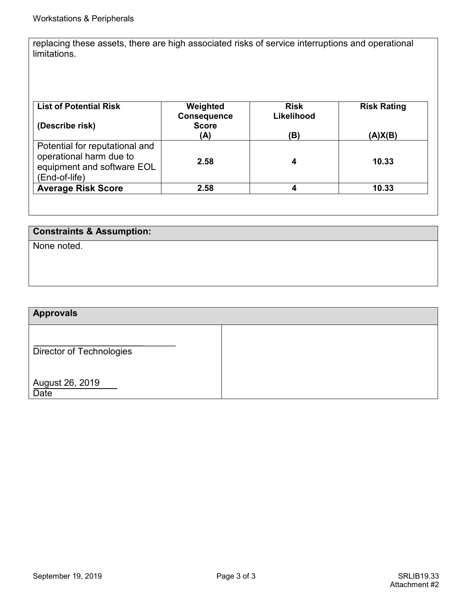replacing these assets, there are high associated risks of service interruptions and operational limitations.

| <b>List of Potential Risk</b><br>(Describe risk)                                                         | Weighted<br><b>Consequence</b><br><b>Score</b><br>(A) | <b>Risk</b><br>Likelihood<br>(B) | <b>Risk Rating</b><br>(A)X(B) |
|----------------------------------------------------------------------------------------------------------|-------------------------------------------------------|----------------------------------|-------------------------------|
| Potential for reputational and<br>operational harm due to<br>equipment and software EOL<br>(End-of-life) | 2.58                                                  | 4                                | 10.33                         |
| <b>Average Risk Score</b>                                                                                | 2.58                                                  | 4                                | 10.33                         |

#### **Constraints & Assumption:**

None noted.

# **Approvals** Director of Technologies August 26, 2019 Date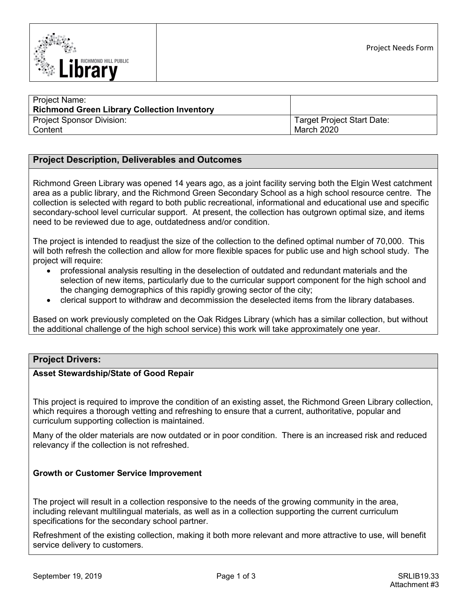

| <b>Project Name:</b><br><b>Richmond Green Library Collection Inventory</b> |                            |
|----------------------------------------------------------------------------|----------------------------|
| <b>Project Sponsor Division:</b>                                           | Target Project Start Date: |
| Content                                                                    | March 2020                 |

#### **Project Description, Deliverables and Outcomes**

Richmond Green Library was opened 14 years ago, as a joint facility serving both the Elgin West catchment area as a public library, and the Richmond Green Secondary School as a high school resource centre. The collection is selected with regard to both public recreational, informational and educational use and specific secondary-school level curricular support. At present, the collection has outgrown optimal size, and items need to be reviewed due to age, outdatedness and/or condition.

The project is intended to readjust the size of the collection to the defined optimal number of 70,000. This will both refresh the collection and allow for more flexible spaces for public use and high school study. The project will require:

- professional analysis resulting in the deselection of outdated and redundant materials and the selection of new items, particularly due to the curricular support component for the high school and the changing demographics of this rapidly growing sector of the city;
- clerical support to withdraw and decommission the deselected items from the library databases.

Based on work previously completed on the Oak Ridges Library (which has a similar collection, but without the additional challenge of the high school service) this work will take approximately one year.

#### **Project Drivers:**

#### **Asset Stewardship/State of Good Repair**

This project is required to improve the condition of an existing asset, the Richmond Green Library collection, which requires a thorough vetting and refreshing to ensure that a current, authoritative, popular and curriculum supporting collection is maintained.

Many of the older materials are now outdated or in poor condition. There is an increased risk and reduced relevancy if the collection is not refreshed.

#### **Growth or Customer Service Improvement**

The project will result in a collection responsive to the needs of the growing community in the area, including relevant multilingual materials, as well as in a collection supporting the current curriculum specifications for the secondary school partner.

Refreshment of the existing collection, making it both more relevant and more attractive to use, will benefit service delivery to customers.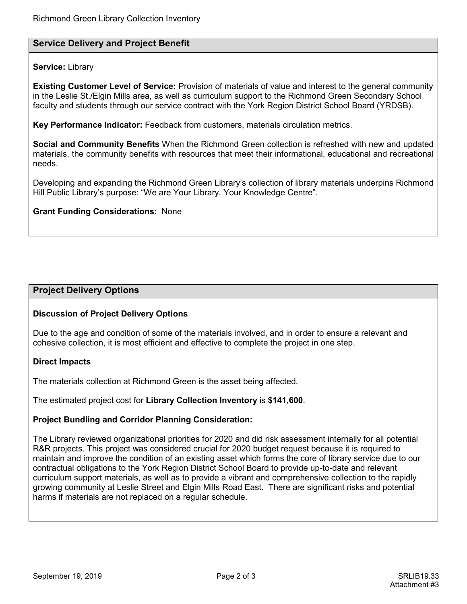#### **Service Delivery and Project Benefit**

#### **Service:** Library

**Existing Customer Level of Service:** Provision of materials of value and interest to the general community in the Leslie St./Elgin Mills area, as well as curriculum support to the Richmond Green Secondary School faculty and students through our service contract with the York Region District School Board (YRDSB).

**Key Performance Indicator:** Feedback from customers, materials circulation metrics.

**Social and Community Benefits** When the Richmond Green collection is refreshed with new and updated materials, the community benefits with resources that meet their informational, educational and recreational needs.

Developing and expanding the Richmond Green Library's collection of library materials underpins Richmond Hill Public Library's purpose: "We are Your Library. Your Knowledge Centre".

#### **Grant Funding Considerations:** None

#### **Project Delivery Options**

#### **Discussion of Project Delivery Options**

Due to the age and condition of some of the materials involved, and in order to ensure a relevant and cohesive collection, it is most efficient and effective to complete the project in one step.

#### **Direct Impacts**

The materials collection at Richmond Green is the asset being affected.

The estimated project cost for **Library Collection Inventory** is **\$141,600**.

#### **Project Bundling and Corridor Planning Consideration:**

The Library reviewed organizational priorities for 2020 and did risk assessment internally for all potential R&R projects. This project was considered crucial for 2020 budget request because it is required to maintain and improve the condition of an existing asset which forms the core of library service due to our contractual obligations to the York Region District School Board to provide up-to-date and relevant curriculum support materials, as well as to provide a vibrant and comprehensive collection to the rapidly growing community at Leslie Street and Elgin Mills Road East. There are significant risks and potential harms if materials are not replaced on a regular schedule.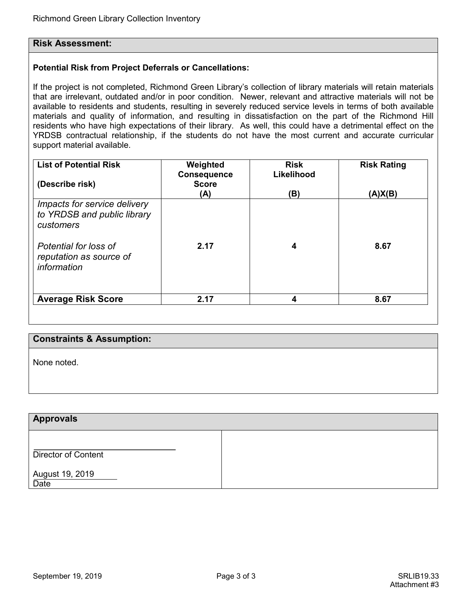#### **Risk Assessment:**

#### **Potential Risk from Project Deferrals or Cancellations:**

If the project is not completed, Richmond Green Library's collection of library materials will retain materials that are irrelevant, outdated and/or in poor condition. Newer, relevant and attractive materials will not be available to residents and students, resulting in severely reduced service levels in terms of both available materials and quality of information, and resulting in dissatisfaction on the part of the Richmond Hill residents who have high expectations of their library. As well, this could have a detrimental effect on the YRDSB contractual relationship, if the students do not have the most current and accurate curricular support material available.

| <b>List of Potential Risk</b><br>(Describe risk)                                                                                            | Weighted<br><b>Consequence</b><br><b>Score</b><br>(A) | <b>Risk</b><br>Likelihood<br>(B) | <b>Risk Rating</b><br>(A)X(B) |
|---------------------------------------------------------------------------------------------------------------------------------------------|-------------------------------------------------------|----------------------------------|-------------------------------|
| Impacts for service delivery<br>to YRDSB and public library<br>customers<br>Potential for loss of<br>reputation as source of<br>information | 2.17                                                  | 4                                | 8.67                          |
| <b>Average Risk Score</b>                                                                                                                   | 2.17                                                  | 4                                | 8.67                          |

#### **Constraints & Assumption:**

None noted.

#### **Approvals**

Director of Content

August 19, 2019

**Date**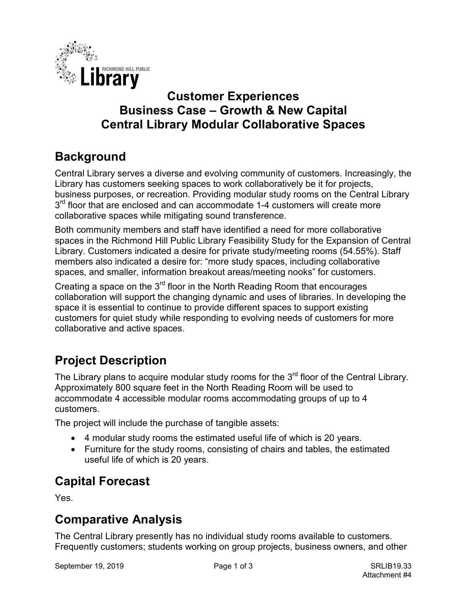

# **Customer Experiences Business Case – Growth & New Capital Central Library Modular Collaborative Spaces**

# **Background**

Central Library serves a diverse and evolving community of customers. Increasingly, the Library has customers seeking spaces to work collaboratively be it for projects, business purposes, or recreation. Providing modular study rooms on the Central Library  $3<sup>rd</sup>$  floor that are enclosed and can accommodate 1-4 customers will create more collaborative spaces while mitigating sound transference.

Both community members and staff have identified a need for more collaborative spaces in the Richmond Hill Public Library Feasibility Study for the Expansion of Central Library. Customers indicated a desire for private study/meeting rooms (54.55%). Staff members also indicated a desire for: "more study spaces, including collaborative spaces, and smaller, information breakout areas/meeting nooks" for customers.

Creating a space on the 3<sup>rd</sup> floor in the North Reading Room that encourages collaboration will support the changing dynamic and uses of libraries. In developing the space it is essential to continue to provide different spaces to support existing customers for quiet study while responding to evolving needs of customers for more collaborative and active spaces.

# **Project Description**

The Library plans to acquire modular study rooms for the 3<sup>rd</sup> floor of the Central Library. Approximately 800 square feet in the North Reading Room will be used to accommodate 4 accessible modular rooms accommodating groups of up to 4 customers.

The project will include the purchase of tangible assets:

- 4 modular study rooms the estimated useful life of which is 20 years.
- Furniture for the study rooms, consisting of chairs and tables, the estimated useful life of which is 20 years.

# **Capital Forecast**

Yes.

# **Comparative Analysis**

The Central Library presently has no individual study rooms available to customers. Frequently customers; students working on group projects, business owners, and other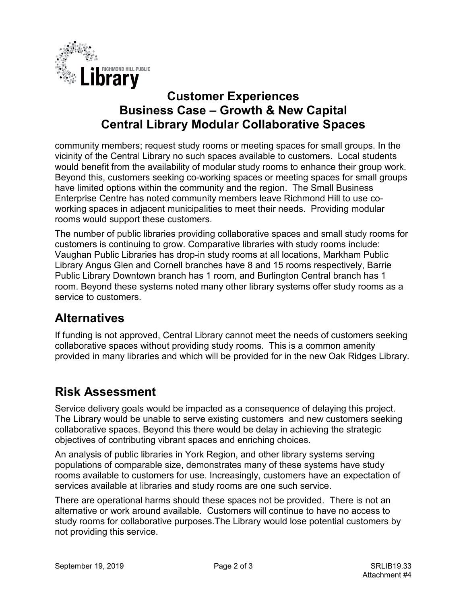

# **Customer Experiences Business Case – Growth & New Capital Central Library Modular Collaborative Spaces**

community members; request study rooms or meeting spaces for small groups. In the vicinity of the Central Library no such spaces available to customers. Local students would benefit from the availability of modular study rooms to enhance their group work. Beyond this, customers seeking co-working spaces or meeting spaces for small groups have limited options within the community and the region. The Small Business Enterprise Centre has noted community members leave Richmond Hill to use coworking spaces in adjacent municipalities to meet their needs. Providing modular rooms would support these customers.

The number of public libraries providing collaborative spaces and small study rooms for customers is continuing to grow. Comparative libraries with study rooms include: Vaughan Public Libraries has drop-in study rooms at all locations, Markham Public Library Angus Glen and Cornell branches have 8 and 15 rooms respectively, Barrie Public Library Downtown branch has 1 room, and Burlington Central branch has 1 room. Beyond these systems noted many other library systems offer study rooms as a service to customers.

# **Alternatives**

If funding is not approved, Central Library cannot meet the needs of customers seeking collaborative spaces without providing study rooms. This is a common amenity provided in many libraries and which will be provided for in the new Oak Ridges Library.

# **Risk Assessment**

Service delivery goals would be impacted as a consequence of delaying this project. The Library would be unable to serve existing customers and new customers seeking collaborative spaces. Beyond this there would be delay in achieving the strategic objectives of contributing vibrant spaces and enriching choices.

An analysis of public libraries in York Region, and other library systems serving populations of comparable size, demonstrates many of these systems have study rooms available to customers for use. Increasingly, customers have an expectation of services available at libraries and study rooms are one such service.

There are operational harms should these spaces not be provided. There is not an alternative or work around available. Customers will continue to have no access to study rooms for collaborative purposes.The Library would lose potential customers by not providing this service.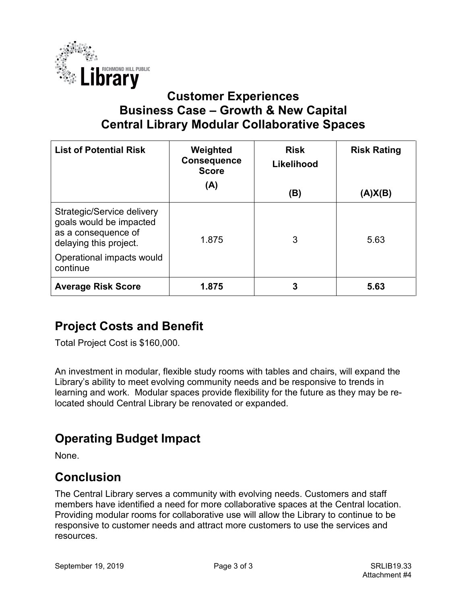

# **Customer Experiences Business Case – Growth & New Capital Central Library Modular Collaborative Spaces**

| <b>List of Potential Risk</b>                                                                          | Weighted<br><b>Consequence</b><br><b>Score</b> | <b>Risk</b><br>Likelihood | <b>Risk Rating</b> |
|--------------------------------------------------------------------------------------------------------|------------------------------------------------|---------------------------|--------------------|
|                                                                                                        | (A)                                            | (B)                       | (A)X(B)            |
| Strategic/Service delivery<br>goals would be impacted<br>as a consequence of<br>delaying this project. | 1.875                                          | 3                         | 5.63               |
| Operational impacts would<br>continue                                                                  |                                                |                           |                    |
| <b>Average Risk Score</b>                                                                              | 1.875                                          | 3                         | 5.63               |

# **Project Costs and Benefit**

Total Project Cost is \$160,000.

An investment in modular, flexible study rooms with tables and chairs, will expand the Library's ability to meet evolving community needs and be responsive to trends in learning and work. Modular spaces provide flexibility for the future as they may be relocated should Central Library be renovated or expanded.

# **Operating Budget Impact**

None.

# **Conclusion**

The Central Library serves a community with evolving needs. Customers and staff members have identified a need for more collaborative spaces at the Central location. Providing modular rooms for collaborative use will allow the Library to continue to be responsive to customer needs and attract more customers to use the services and resources.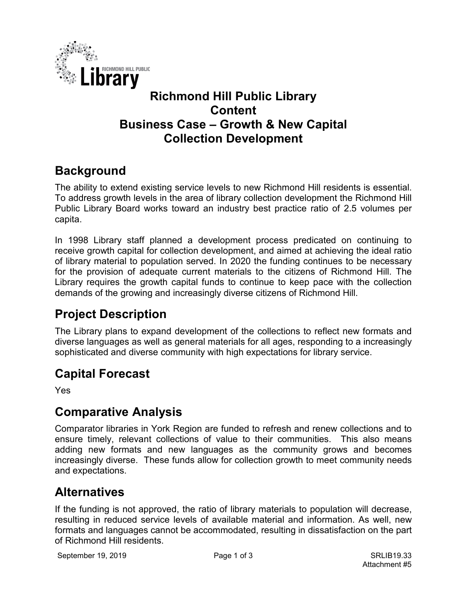

# **Richmond Hill Public Library Content Business Case – Growth & New Capital Collection Development**

# **Background**

The ability to extend existing service levels to new Richmond Hill residents is essential. To address growth levels in the area of library collection development the Richmond Hill Public Library Board works toward an industry best practice ratio of 2.5 volumes per capita.

In 1998 Library staff planned a development process predicated on continuing to receive growth capital for collection development, and aimed at achieving the ideal ratio of library material to population served. In 2020 the funding continues to be necessary for the provision of adequate current materials to the citizens of Richmond Hill. The Library requires the growth capital funds to continue to keep pace with the collection demands of the growing and increasingly diverse citizens of Richmond Hill.

# **Project Description**

The Library plans to expand development of the collections to reflect new formats and diverse languages as well as general materials for all ages, responding to a increasingly sophisticated and diverse community with high expectations for library service.

# **Capital Forecast**

Yes

# **Comparative Analysis**

Comparator libraries in York Region are funded to refresh and renew collections and to ensure timely, relevant collections of value to their communities. This also means adding new formats and new languages as the community grows and becomes increasingly diverse. These funds allow for collection growth to meet community needs and expectations.

# **Alternatives**

If the funding is not approved, the ratio of library materials to population will decrease, resulting in reduced service levels of available material and information. As well, new formats and languages cannot be accommodated, resulting in dissatisfaction on the part of Richmond Hill residents.

September 19, 2019 **Page 1 of 3** SRLIB19.33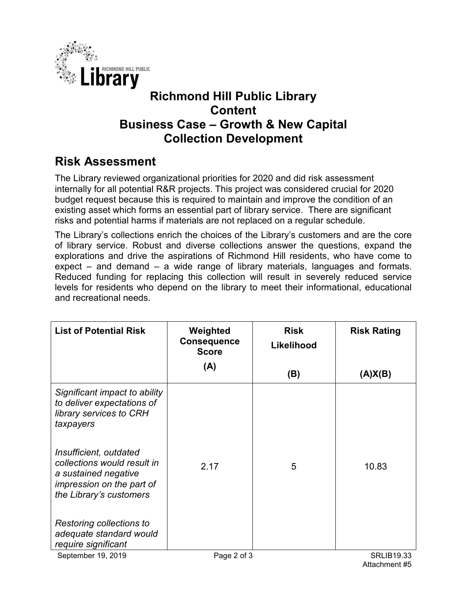

# **Richmond Hill Public Library Content Business Case – Growth & New Capital Collection Development**

# **Risk Assessment**

The Library reviewed organizational priorities for 2020 and did risk assessment internally for all potential R&R projects. This project was considered crucial for 2020 budget request because this is required to maintain and improve the condition of an existing asset which forms an essential part of library service. There are significant risks and potential harms if materials are not replaced on a regular schedule.

The Library's collections enrich the choices of the Library's customers and are the core of library service. Robust and diverse collections answer the questions, expand the explorations and drive the aspirations of Richmond Hill residents, who have come to expect – and demand – a wide range of library materials, languages and formats. Reduced funding for replacing this collection will result in severely reduced service levels for residents who depend on the library to meet their informational, educational and recreational needs.

| (A)<br>(B)                                                                                                                                         | (A)X(B)           |
|----------------------------------------------------------------------------------------------------------------------------------------------------|-------------------|
| Significant impact to ability<br>to deliver expectations of<br>library services to CRH<br>taxpayers                                                |                   |
| Insufficient, outdated<br>collections would result in<br>2.17<br>5<br>a sustained negative<br>impression on the part of<br>the Library's customers | 10.83             |
| Restoring collections to<br>adequate standard would<br>require significant<br>September 19, 2019<br>Page 2 of 3                                    | <b>SRLIB19.33</b> |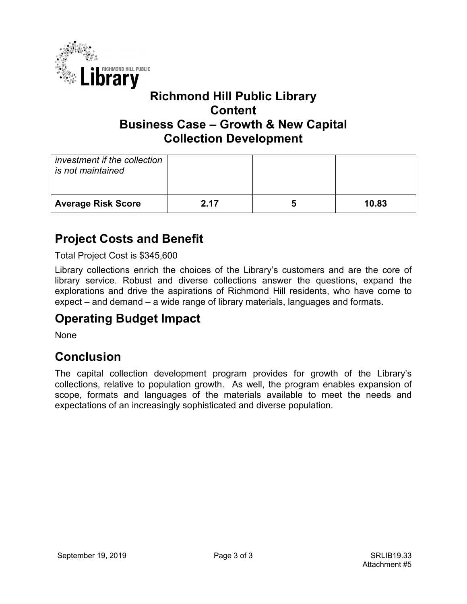

# **Richmond Hill Public Library Content Business Case – Growth & New Capital Collection Development**

| investment if the collection<br>is not maintained |      |       |
|---------------------------------------------------|------|-------|
| <b>Average Risk Score</b>                         | 2.17 | 10.83 |

# **Project Costs and Benefit**

Total Project Cost is \$345,600

Library collections enrich the choices of the Library's customers and are the core of library service. Robust and diverse collections answer the questions, expand the explorations and drive the aspirations of Richmond Hill residents, who have come to expect – and demand – a wide range of library materials, languages and formats.

# **Operating Budget Impact**

None

# **Conclusion**

The capital collection development program provides for growth of the Library's collections, relative to population growth. As well, the program enables expansion of scope, formats and languages of the materials available to meet the needs and expectations of an increasingly sophisticated and diverse population.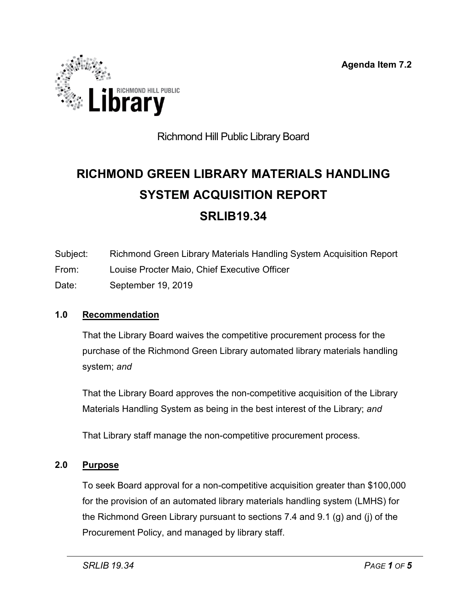**Agenda Item 7.2**

<span id="page-23-0"></span>

# Richmond Hill Public Library Board

# **RICHMOND GREEN LIBRARY MATERIALS HANDLING SYSTEM ACQUISITION REPORT SRLIB19.34**

- Subject: Richmond Green Library Materials Handling System Acquisition Report
- From: Louise Procter Maio, Chief Executive Officer
- Date: September 19, 2019

### **1.0 Recommendation**

That the Library Board waives the competitive procurement process for the purchase of the Richmond Green Library automated library materials handling system; *and*

That the Library Board approves the non-competitive acquisition of the Library Materials Handling System as being in the best interest of the Library; *and*

That Library staff manage the non-competitive procurement process.

### **2.0 Purpose**

To seek Board approval for a non-competitive acquisition greater than \$100,000 for the provision of an automated library materials handling system (LMHS) for the Richmond Green Library pursuant to sections 7.4 and 9.1 (g) and (j) of the Procurement Policy, and managed by library staff.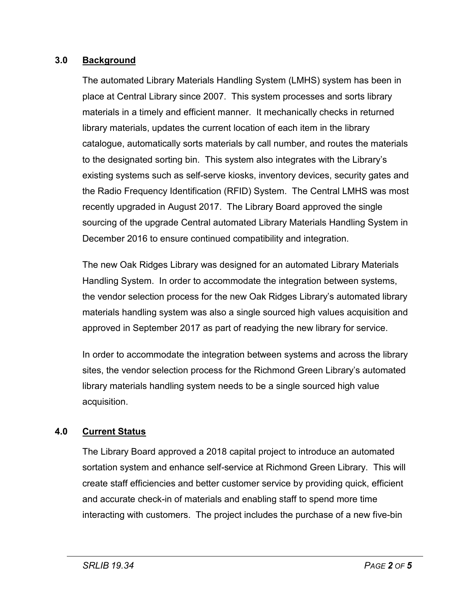### **3.0 Background**

The automated Library Materials Handling System (LMHS) system has been in place at Central Library since 2007. This system processes and sorts library materials in a timely and efficient manner. It mechanically checks in returned library materials, updates the current location of each item in the library catalogue, automatically sorts materials by call number, and routes the materials to the designated sorting bin. This system also integrates with the Library's existing systems such as self-serve kiosks, inventory devices, security gates and the Radio Frequency Identification (RFID) System. The Central LMHS was most recently upgraded in August 2017. The Library Board approved the single sourcing of the upgrade Central automated Library Materials Handling System in December 2016 to ensure continued compatibility and integration.

The new Oak Ridges Library was designed for an automated Library Materials Handling System. In order to accommodate the integration between systems, the vendor selection process for the new Oak Ridges Library's automated library materials handling system was also a single sourced high values acquisition and approved in September 2017 as part of readying the new library for service.

In order to accommodate the integration between systems and across the library sites, the vendor selection process for the Richmond Green Library's automated library materials handling system needs to be a single sourced high value acquisition.

### **4.0 Current Status**

The Library Board approved a 2018 capital project to introduce an automated sortation system and enhance self-service at Richmond Green Library. This will create staff efficiencies and better customer service by providing quick, efficient and accurate check-in of materials and enabling staff to spend more time interacting with customers. The project includes the purchase of a new five-bin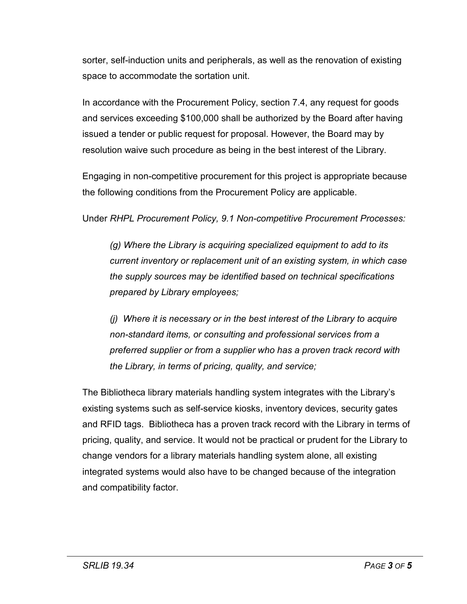sorter, self-induction units and peripherals, as well as the renovation of existing space to accommodate the sortation unit.

In accordance with the Procurement Policy, section 7.4, any request for goods and services exceeding \$100,000 shall be authorized by the Board after having issued a tender or public request for proposal. However, the Board may by resolution waive such procedure as being in the best interest of the Library.

Engaging in non-competitive procurement for this project is appropriate because the following conditions from the Procurement Policy are applicable.

Under *RHPL Procurement Policy, 9.1 Non-competitive Procurement Processes:*

*(g) Where the Library is acquiring specialized equipment to add to its current inventory or replacement unit of an existing system, in which case the supply sources may be identified based on technical specifications prepared by Library employees;* 

*(j) Where it is necessary or in the best interest of the Library to acquire non-standard items, or consulting and professional services from a preferred supplier or from a supplier who has a proven track record with the Library, in terms of pricing, quality, and service;*

The Bibliotheca library materials handling system integrates with the Library's existing systems such as self-service kiosks, inventory devices, security gates and RFID tags. Bibliotheca has a proven track record with the Library in terms of pricing, quality, and service. It would not be practical or prudent for the Library to change vendors for a library materials handling system alone, all existing integrated systems would also have to be changed because of the integration and compatibility factor.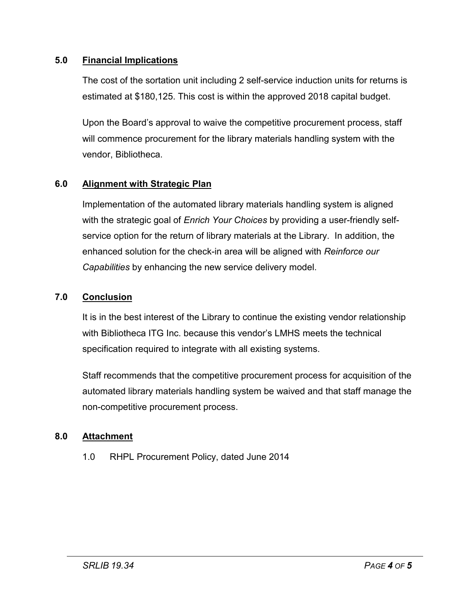### **5.0 Financial Implications**

The cost of the sortation unit including 2 self-service induction units for returns is estimated at \$180,125. This cost is within the approved 2018 capital budget.

Upon the Board's approval to waive the competitive procurement process, staff will commence procurement for the library materials handling system with the vendor, Bibliotheca.

# **6.0 Alignment with Strategic Plan**

Implementation of the automated library materials handling system is aligned with the strategic goal of *Enrich Your Choices* by providing a user-friendly selfservice option for the return of library materials at the Library. In addition, the enhanced solution for the check-in area will be aligned with *Reinforce our Capabilities* by enhancing the new service delivery model.

### **7.0 Conclusion**

It is in the best interest of the Library to continue the existing vendor relationship with Bibliotheca ITG Inc. because this vendor's LMHS meets the technical specification required to integrate with all existing systems.

Staff recommends that the competitive procurement process for acquisition of the automated library materials handling system be waived and that staff manage the non-competitive procurement process.

# **8.0 Attachment**

1.0 RHPL Procurement Policy, dated June 2014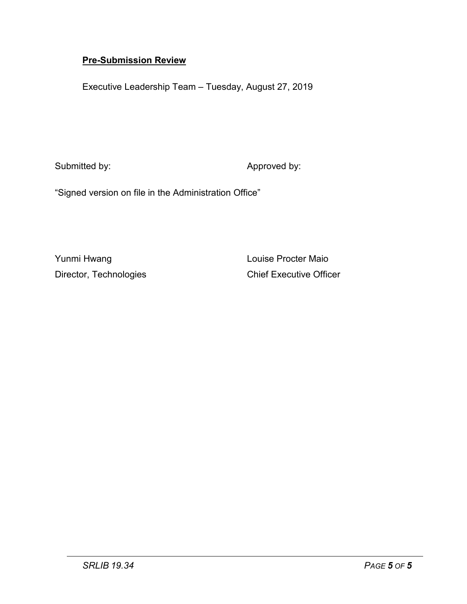### **Pre-Submission Review**

Executive Leadership Team – Tuesday, August 27, 2019

Submitted by: Submitted by: Approved by:

"Signed version on file in the Administration Office"

Yunmi Hwang **Louise Procter Maio** 

Director, Technologies Chief Executive Officer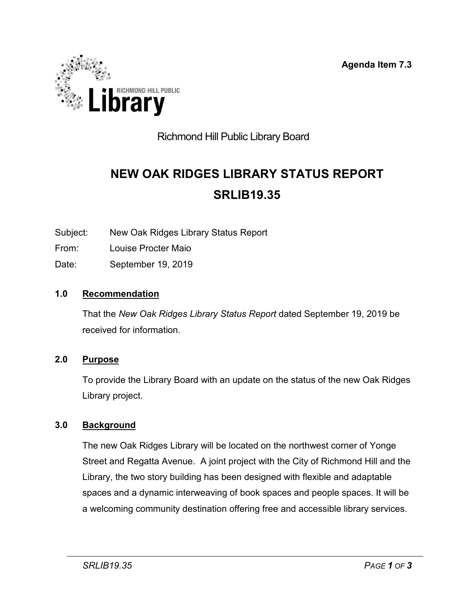**Agenda Item 7.3**

<span id="page-28-0"></span>

# Richmond Hill Public Library Board

# **NEW OAK RIDGES LIBRARY STATUS REPORT SRLIB19.35**

Subject: New Oak Ridges Library Status Report

- From: Louise Procter Maio
- Date: September 19, 2019

### **1.0 Recommendation**

That the *New Oak Ridges Library Status Report* dated September 19, 2019 be received for information.

#### **2.0 Purpose**

To provide the Library Board with an update on the status of the new Oak Ridges Library project.

### **3.0 Background**

The new Oak Ridges Library will be located on the northwest corner of Yonge Street and Regatta Avenue. A joint project with the City of Richmond Hill and the Library, the two story building has been designed with flexible and adaptable spaces and a dynamic interweaving of book spaces and people spaces. It will be a welcoming community destination offering free and accessible library services.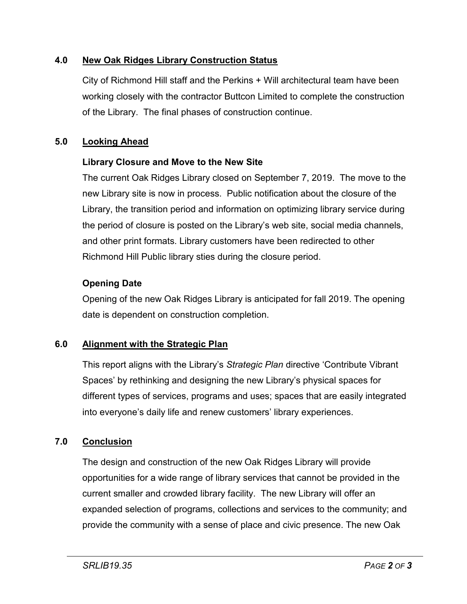### **4.0 New Oak Ridges Library Construction Status**

City of Richmond Hill staff and the Perkins + Will architectural team have been working closely with the contractor Buttcon Limited to complete the construction of the Library. The final phases of construction continue.

### **5.0 Looking Ahead**

### **Library Closure and Move to the New Site**

The current Oak Ridges Library closed on September 7, 2019. The move to the new Library site is now in process. Public notification about the closure of the Library, the transition period and information on optimizing library service during the period of closure is posted on the Library's web site, social media channels, and other print formats. Library customers have been redirected to other Richmond Hill Public library sties during the closure period.

### **Opening Date**

Opening of the new Oak Ridges Library is anticipated for fall 2019. The opening date is dependent on construction completion.

### **6.0 Alignment with the Strategic Plan**

This report aligns with the Library's *Strategic Plan* directive 'Contribute Vibrant Spaces' by rethinking and designing the new Library's physical spaces for different types of services, programs and uses; spaces that are easily integrated into everyone's daily life and renew customers' library experiences.

# **7.0 Conclusion**

The design and construction of the new Oak Ridges Library will provide opportunities for a wide range of library services that cannot be provided in the current smaller and crowded library facility. The new Library will offer an expanded selection of programs, collections and services to the community; and provide the community with a sense of place and civic presence. The new Oak